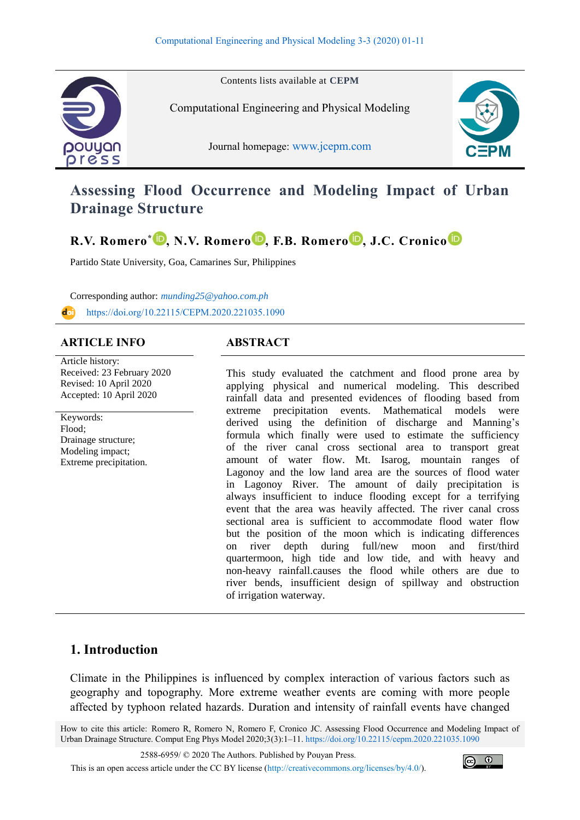

Contents lists available at **CEPM**

Computational Engineering and Physical Modeling

Journal homepage: [www.jcepm.com](http://www.jcepm.com/)



# **Assessing Flood Occurrence and Modeling Impact of Urban Drainage Structure**

**R.V. Romero\* [,](https://www.orcid.org/0000-0002-7142-5749) N.V. Romero [,](https://www.orcid.org/0000-0002-0573-5693) F.B. Romero [,](https://www.orcid.org/0000-0001-5950-4463) J.C. Cronico**

Partido State University, Goa, Camarines Sur, Philippines

Corresponding author: *[munding25@yahoo.com.ph](mailto:munding25@yahoo.com.ph)* <https://doi.org/10.22115/CEPM.2020.221035.1090>

### **ARTICLE INFO ABSTRACT**

Article history: Received: 23 February 2020 Revised: 10 April 2020 Accepted: 10 April 2020

Keywords: Flood; Drainage structure; Modeling impact; Extreme precipitation.

This study evaluated the catchment and flood prone area by applying physical and numerical modeling. This described rainfall data and presented evidences of flooding based from extreme precipitation events. Mathematical models were derived using the definition of discharge and Manning's formula which finally were used to estimate the sufficiency of the river canal cross sectional area to transport great amount of water flow. Mt. Isarog, mountain ranges of Lagonoy and the low land area are the sources of flood water in Lagonoy River. The amount of daily precipitation is always insufficient to induce flooding except for a terrifying event that the area was heavily affected. The river canal cross sectional area is sufficient to accommodate flood water flow but the position of the moon which is indicating differences on river depth during full/new moon and first/third quartermoon, high tide and low tide, and with heavy and non-heavy rainfall.causes the flood while others are due to river bends, insufficient design of spillway and obstruction of irrigation waterway.

## **1. Introduction**

Climate in the Philippines is influenced by complex interaction of various factors such as geography and topography. More extreme weather events are coming with more people affected by typhoon related hazards. Duration and intensity of rainfall events have changed

How to cite this article: Romero R, Romero N, Romero F, Cronico JC. Assessing Flood Occurrence and Modeling Impact of Urban Drainage Structure. Comput Eng Phys Model 2020;3(3):1–11[. https://doi.org/10.22115/cepm.2020.221035.1090](https://doi.org/10.22115/cepm.2020.221035.1090)

2588-6959/ © 2020 The Authors. Published by Pouyan Press.

This is an open access article under the CC BY license [\(http://creativecommons.org/licenses/by/4.0/\)](http://creativecommons.org/licenses/by/4.0/).

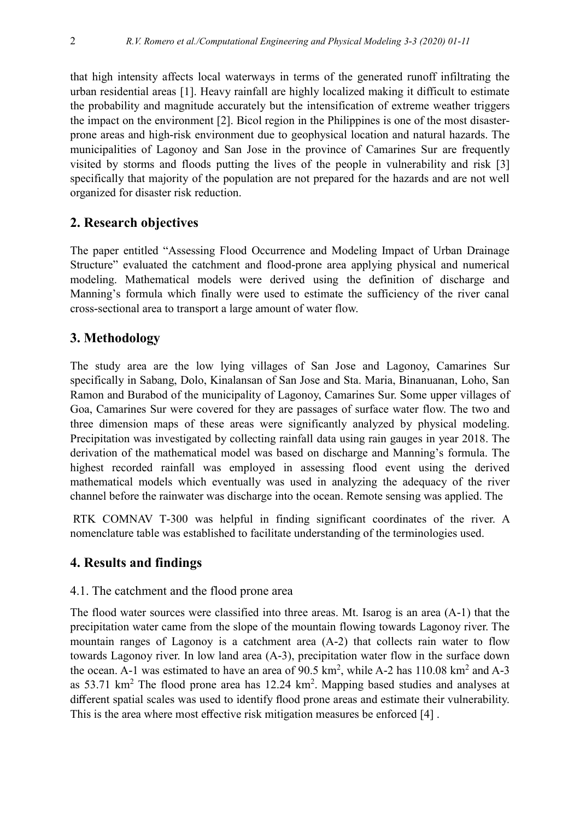that high intensity affects local waterways in terms of the generated runoff infiltrating the urban residential areas [1]. Heavy rainfall are highly localized making it difficult to estimate the probability and magnitude accurately but the intensification of extreme weather triggers the impact on the environment [2]. Bicol region in the Philippines is one of the most disasterprone areas and high-risk environment due to geophysical location and natural hazards. The municipalities of Lagonoy and San Jose in the province of Camarines Sur are frequently visited by storms and floods putting the lives of the people in vulnerability and risk [3] specifically that majority of the population are not prepared for the hazards and are not well organized for disaster risk reduction.

## **2. Research objectives**

The paper entitled "Assessing Flood Occurrence and Modeling Impact of Urban Drainage Structure" evaluated the catchment and flood-prone area applying physical and numerical modeling. Mathematical models were derived using the definition of discharge and Manning's formula which finally were used to estimate the sufficiency of the river canal cross-sectional area to transport a large amount of water flow.

## **3. Methodology**

The study area are the low lying villages of San Jose and Lagonoy, Camarines Sur specifically in Sabang, Dolo, Kinalansan of San Jose and Sta. Maria, Binanuanan, Loho, San Ramon and Burabod of the municipality of Lagonoy, Camarines Sur. Some upper villages of Goa, Camarines Sur were covered for they are passages of surface water flow. The two and three dimension maps of these areas were significantly analyzed by physical modeling. Precipitation was investigated by collecting rainfall data using rain gauges in year 2018. The derivation of the mathematical model was based on discharge and Manning's formula. The highest recorded rainfall was employed in assessing flood event using the derived mathematical models which eventually was used in analyzing the adequacy of the river channel before the rainwater was discharge into the ocean. Remote sensing was applied. The

RTK COMNAV T-300 was helpful in finding significant coordinates of the river. A nomenclature table was established to facilitate understanding of the terminologies used.

## **4. Results and findings**

### 4.1. The catchment and the flood prone area

The flood water sources were classified into three areas. Mt. Isarog is an area (A-1) that the precipitation water came from the slope of the mountain flowing towards Lagonoy river. The mountain ranges of Lagonoy is a catchment area (A-2) that collects rain water to flow towards Lagonoy river. In low land area (A-3), precipitation water flow in the surface down the ocean. A-1 was estimated to have an area of  $90.5 \text{ km}^2$ , while A-2 has 110.08 km<sup>2</sup> and A-3 as  $53.71 \text{ km}^2$  The flood prone area has  $12.24 \text{ km}^2$ . Mapping based studies and analyses at different spatial scales was used to identify flood prone areas and estimate their vulnerability. This is the area where most effective risk mitigation measures be enforced [4] .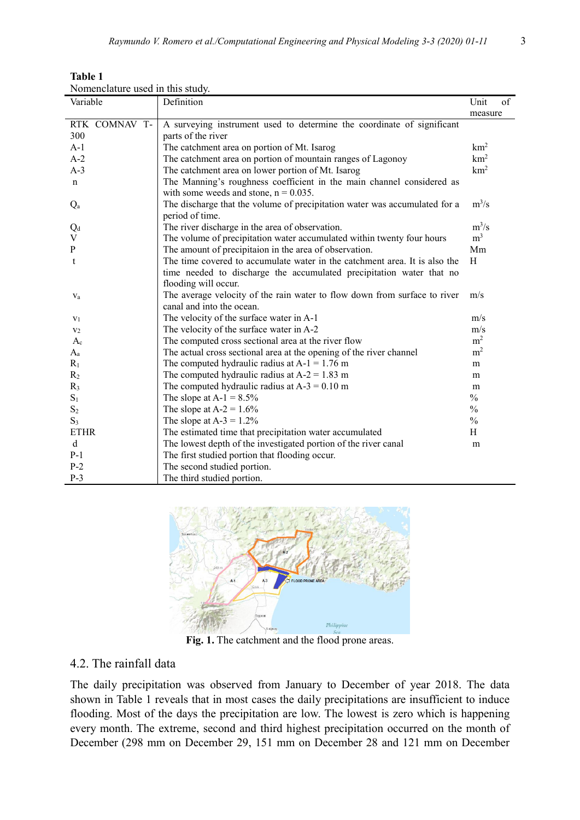| <b>Table 1</b>                   |  |
|----------------------------------|--|
| Nomenclature used in this study. |  |

| Variable       | Definition                                                                 | Unit<br>of      |
|----------------|----------------------------------------------------------------------------|-----------------|
|                |                                                                            | measure         |
| RTK COMNAV T-  | A surveying instrument used to determine the coordinate of significant     |                 |
| 300            | parts of the river                                                         |                 |
| $A-1$          | The catchment area on portion of Mt. Isarog                                | km <sup>2</sup> |
| $A-2$          | The catchment area on portion of mountain ranges of Lagonoy                | km <sup>2</sup> |
| $A-3$          | The catchment area on lower portion of Mt. Isarog                          | km <sup>2</sup> |
| $\mathbf n$    | The Manning's roughness coefficient in the main channel considered as      |                 |
|                | with some weeds and stone, $n = 0.035$ .                                   |                 |
| $Q_{\rm a}$    | The discharge that the volume of precipitation water was accumulated for a | $m^3/s$         |
|                | period of time.                                                            |                 |
| $Q_d$          | The river discharge in the area of observation.                            | $m^3/s$         |
| V              | The volume of precipitation water accumulated within twenty four hours     | m <sup>3</sup>  |
| P              | The amount of precipitaion in the area of observation.                     | Mm              |
| t              | The time covered to accumulate water in the catchment area. It is also the | H               |
|                | time needed to discharge the accumulated precipitation water that no       |                 |
|                | flooding will occur.                                                       |                 |
| $V_a$          | The average velocity of the rain water to flow down from surface to river  | m/s             |
|                | canal and into the ocean.                                                  |                 |
| $V_1$          | The velocity of the surface water in A-1                                   | m/s             |
| V <sub>2</sub> | The velocity of the surface water in A-2                                   | m/s             |
| $A_c$          | The computed cross sectional area at the river flow                        | m <sup>2</sup>  |
| $A_{a}$        | The actual cross sectional area at the opening of the river channel        | m <sup>2</sup>  |
| $R_1$          | The computed hydraulic radius at $A-1 = 1.76$ m                            | m               |
| $R_2$          | The computed hydraulic radius at $A-2 = 1.83$ m                            | m               |
| $R_3$          | The computed hydraulic radius at $A-3 = 0.10$ m                            | m               |
| $S_1$          | The slope at $A-1 = 8.5\%$                                                 | $\frac{0}{0}$   |
| $S_2$          | The slope at $A-2 = 1.6\%$                                                 | $\frac{0}{0}$   |
| $S_3$          | The slope at $A-3 = 1.2\%$                                                 | $\frac{0}{0}$   |
| <b>ETHR</b>    | The estimated time that precipitation water accumulated                    | H               |
| $\mathbf d$    | The lowest depth of the investigated portion of the river canal            | m               |
| $P-1$          | The first studied portion that flooding occur.                             |                 |
| $P-2$          | The second studied portion.                                                |                 |
| $P-3$          | The third studied portion.                                                 |                 |



**Fig. 1.** The catchment and the flood prone areas.

#### 4.2. The rainfall data

The daily precipitation was observed from January to December of year 2018. The data shown in Table 1 reveals that in most cases the daily precipitations are insufficient to induce flooding. Most of the days the precipitation are low. The lowest is zero which is happening every month. The extreme, second and third highest precipitation occurred on the month of December (298 mm on December 29, 151 mm on December 28 and 121 mm on December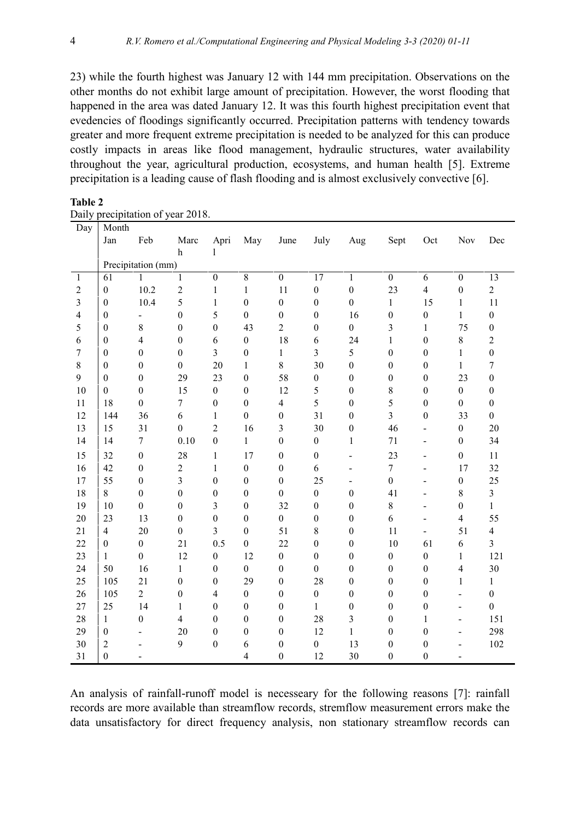23) while the fourth highest was January 12 with 144 mm precipitation. Observations on the other months do not exhibit large amount of precipitation. However, the worst flooding that happened in the area was dated January 12. It was this fourth highest precipitation event that evedencies of floodings significantly occurred. Precipitation patterns with tendency towards greater and more frequent extreme precipitation is needed to be analyzed for this can produce costly impacts in areas like flood management, hydraulic structures, water availability throughout the year, agricultural production, ecosystems, and human health [5]. Extreme precipitation is a leading cause of flash flooding and is almost exclusively convective [6].

| Day                     | Month              |                  |                  |                  |                  |                  |                  |                          |                  |                  |                          |                  |
|-------------------------|--------------------|------------------|------------------|------------------|------------------|------------------|------------------|--------------------------|------------------|------------------|--------------------------|------------------|
|                         | Jan                | Feb              | Marc             | Apri             | May              | June             | July             | Aug                      | Sept             | Oct              | Nov                      | Dec              |
|                         |                    |                  | $\,$ h           | 1                |                  |                  |                  |                          |                  |                  |                          |                  |
|                         | Precipitation (mm) |                  |                  |                  |                  |                  |                  |                          |                  |                  |                          |                  |
| $\mathbf{1}$            | 61                 | 1                | 1                | $\mathbf{0}$     | $\overline{8}$   | $\overline{0}$   | $\overline{17}$  | $\mathbf{1}$             | $\mathbf{0}$     | 6                | $\boldsymbol{0}$         | $\overline{13}$  |
| $\overline{2}$          | $\boldsymbol{0}$   | 10.2             | $\sqrt{2}$       | $\mathbf{1}$     | $\mathbf{1}$     | 11               | $\boldsymbol{0}$ | $\boldsymbol{0}$         | 23               | $\overline{4}$   | $\boldsymbol{0}$         | $\overline{2}$   |
| 3                       | $\boldsymbol{0}$   | 10.4             | 5                | $\mathbf{1}$     | $\mathbf{0}$     | $\overline{0}$   | $\boldsymbol{0}$ | $\boldsymbol{0}$         | $\mathbf{1}$     | 15               | $\mathbf{1}$             | 11               |
| $\overline{\mathbf{4}}$ | $\boldsymbol{0}$   | $\overline{a}$   | $\boldsymbol{0}$ | 5                | $\boldsymbol{0}$ | $\boldsymbol{0}$ | $\boldsymbol{0}$ | 16                       | $\boldsymbol{0}$ | $\boldsymbol{0}$ | $\mathbf{1}$             | $\boldsymbol{0}$ |
| 5                       | $\boldsymbol{0}$   | 8                | $\boldsymbol{0}$ | $\boldsymbol{0}$ | 43               | $\overline{2}$   | $\boldsymbol{0}$ | $\overline{0}$           | $\mathfrak{Z}$   | $\mathbf{1}$     | 75                       | $\boldsymbol{0}$ |
| 6                       | $\boldsymbol{0}$   | 4                | $\boldsymbol{0}$ | 6                | $\boldsymbol{0}$ | 18               | 6                | 24                       | $\mathbf{1}$     | $\boldsymbol{0}$ | $8\,$                    | $\overline{2}$   |
| 7                       | $\boldsymbol{0}$   | $\boldsymbol{0}$ | $\boldsymbol{0}$ | $\overline{3}$   | $\boldsymbol{0}$ | $\mathbf{1}$     | $\overline{3}$   | 5                        | $\boldsymbol{0}$ | $\boldsymbol{0}$ | $\mathbf{1}$             | $\boldsymbol{0}$ |
| 8                       | $\boldsymbol{0}$   | $\boldsymbol{0}$ | $\boldsymbol{0}$ | 20               | $\mathbf{1}$     | 8                | 30               | $\boldsymbol{0}$         | $\boldsymbol{0}$ | $\boldsymbol{0}$ | $\mathbf{1}$             | $\boldsymbol{7}$ |
| 9                       | $\boldsymbol{0}$   | $\boldsymbol{0}$ | 29               | 23               | $\boldsymbol{0}$ | 58               | $\boldsymbol{0}$ | $\boldsymbol{0}$         | $\boldsymbol{0}$ | $\boldsymbol{0}$ | 23                       | $\boldsymbol{0}$ |
| 10                      | $\boldsymbol{0}$   | $\boldsymbol{0}$ | 15               | $\boldsymbol{0}$ | $\mathbf{0}$     | 12               | 5                | $\boldsymbol{0}$         | $8\,$            | $\boldsymbol{0}$ | $\boldsymbol{0}$         | $\boldsymbol{0}$ |
| 11                      | 18                 | $\mathbf{0}$     | 7                | $\boldsymbol{0}$ | $\boldsymbol{0}$ | $\overline{4}$   | 5                | $\boldsymbol{0}$         | 5                | $\boldsymbol{0}$ | $\mathbf{0}$             | $\mathbf{0}$     |
| 12                      | 144                | 36               | 6                | 1                | $\boldsymbol{0}$ | $\boldsymbol{0}$ | 31               | $\boldsymbol{0}$         | $\overline{3}$   | $\boldsymbol{0}$ | 33                       | $\boldsymbol{0}$ |
| 13                      | 15                 | 31               | $\boldsymbol{0}$ | $\overline{2}$   | 16               | $\overline{3}$   | 30               | $\boldsymbol{0}$         | 46               | $\blacksquare$   | $\boldsymbol{0}$         | 20               |
| 14                      | 14                 | $\boldsymbol{7}$ | 0.10             | $\boldsymbol{0}$ | $\mathbf{1}$     | $\boldsymbol{0}$ | $\boldsymbol{0}$ | $\mathbf{1}$             | $71\,$           | $\overline{a}$   | $\boldsymbol{0}$         | 34               |
| 15                      | 32                 | $\boldsymbol{0}$ | 28               | 1                | 17               | $\boldsymbol{0}$ | $\boldsymbol{0}$ | $\overline{\phantom{m}}$ | 23               | $\overline{a}$   | $\boldsymbol{0}$         | 11               |
| 16                      | 42                 | $\boldsymbol{0}$ | $\sqrt{2}$       | $\mathbf{1}$     | $\boldsymbol{0}$ | $\boldsymbol{0}$ | 6                | ÷,                       | $\tau$           | L,               | 17                       | 32               |
| 17                      | 55                 | $\boldsymbol{0}$ | $\mathfrak{Z}$   | $\boldsymbol{0}$ | $\boldsymbol{0}$ | $\boldsymbol{0}$ | 25               | $\overline{\phantom{0}}$ | $\boldsymbol{0}$ |                  | $\boldsymbol{0}$         | 25               |
| 18                      | 8                  | $\boldsymbol{0}$ | $\boldsymbol{0}$ | $\boldsymbol{0}$ | $\boldsymbol{0}$ | $\overline{0}$   | $\mathbf{0}$     | $\boldsymbol{0}$         | 41               | ÷                | $\,$ 8 $\,$              | $\overline{3}$   |
| 19                      | 10                 | $\boldsymbol{0}$ | $\boldsymbol{0}$ | 3                | $\boldsymbol{0}$ | 32               | $\boldsymbol{0}$ | $\boldsymbol{0}$         | $8\,$            |                  | $\boldsymbol{0}$         | $\mathbf{1}$     |
| 20                      | 23                 | 13               | $\boldsymbol{0}$ | $\mathbf{0}$     | $\boldsymbol{0}$ | $\overline{0}$   | $\boldsymbol{0}$ | $\boldsymbol{0}$         | 6                |                  | $\overline{4}$           | 55               |
| 21                      | $\overline{4}$     | 20               | $\boldsymbol{0}$ | 3                | $\mathbf{0}$     | 51               | 8                | $\boldsymbol{0}$         | 11               | ÷,               | 51                       | $\overline{4}$   |
| 22                      | $\boldsymbol{0}$   | $\boldsymbol{0}$ | 21               | 0.5              | $\boldsymbol{0}$ | 22               | $\boldsymbol{0}$ | $\boldsymbol{0}$         | 10               | 61               | $\sqrt{6}$               | $\overline{3}$   |
| 23                      | $\mathbf{1}$       | $\boldsymbol{0}$ | 12               | $\boldsymbol{0}$ | 12               | $\overline{0}$   | $\mathbf{0}$     | $\boldsymbol{0}$         | $\boldsymbol{0}$ | $\boldsymbol{0}$ | $\mathbf{1}$             | 121              |
| 24                      | 50                 | 16               | 1                | $\boldsymbol{0}$ | $\boldsymbol{0}$ | $\boldsymbol{0}$ | $\mathbf{0}$     | $\boldsymbol{0}$         | $\boldsymbol{0}$ | $\boldsymbol{0}$ | $\overline{4}$           | 30               |
| 25                      | 105                | 21               | $\boldsymbol{0}$ | $\boldsymbol{0}$ | 29               | $\overline{0}$   | 28               | $\boldsymbol{0}$         | $\mathbf{0}$     | $\boldsymbol{0}$ | $\mathbf{1}$             | 1                |
| 26                      | 105                | $\overline{2}$   | $\boldsymbol{0}$ | $\overline{4}$   | $\boldsymbol{0}$ | $\boldsymbol{0}$ | $\boldsymbol{0}$ | $\boldsymbol{0}$         | $\boldsymbol{0}$ | $\boldsymbol{0}$ | $\frac{1}{2}$            | $\boldsymbol{0}$ |
| 27                      | 25                 | 14               | $\mathbf{1}$     | $\boldsymbol{0}$ | $\boldsymbol{0}$ | $\boldsymbol{0}$ | $\mathbf{1}$     | $\boldsymbol{0}$         | $\boldsymbol{0}$ | $\boldsymbol{0}$ | $\overline{\phantom{a}}$ | $\boldsymbol{0}$ |
| 28                      | $\mathbf{1}$       | $\boldsymbol{0}$ | $\overline{4}$   | $\boldsymbol{0}$ | $\boldsymbol{0}$ | $\mathbf{0}$     | 28               | 3                        | $\boldsymbol{0}$ | $\mathbf{1}$     | $\overline{a}$           | 151              |
| 29                      | $\boldsymbol{0}$   |                  | 20               | $\boldsymbol{0}$ | $\boldsymbol{0}$ | $\boldsymbol{0}$ | 12               | $\mathbf{1}$             | $\boldsymbol{0}$ | $\boldsymbol{0}$ | $\blacksquare$           | 298              |
| 30                      | $\sqrt{2}$         |                  | $\mathbf{9}$     | $\boldsymbol{0}$ | 6                | $\boldsymbol{0}$ | $\boldsymbol{0}$ | 13                       | $\boldsymbol{0}$ | $\boldsymbol{0}$ | $\overline{a}$           | 102              |
| 31                      | $\mathbf{0}$       |                  |                  |                  | $\overline{4}$   | $\mathbf{0}$     | 12               | 30                       | $\boldsymbol{0}$ | $\boldsymbol{0}$ | $\overline{a}$           |                  |

**Table 2**

An analysis of rainfall-runoff model is necesseary for the following reasons [7]: rainfall records are more available than streamflow records, stremflow measurement errors make the data unsatisfactory for direct frequency analysis, non stationary streamflow records can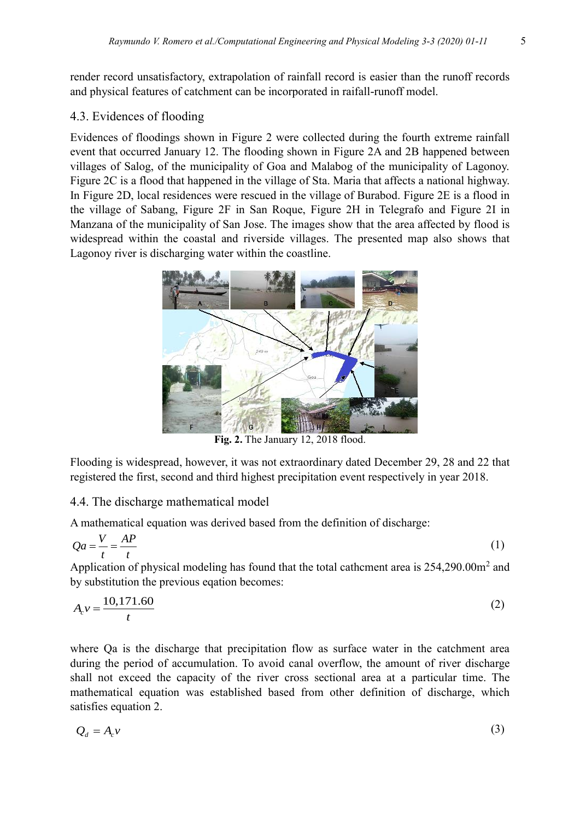render record unsatisfactory, extrapolation of rainfall record is easier than the runoff records and physical features of catchment can be incorporated in raifall-runoff model.

### 4.3. Evidences of flooding

Evidences of floodings shown in Figure 2 were collected during the fourth extreme rainfall event that occurred January 12. The flooding shown in Figure 2A and 2B happened between villages of Salog, of the municipality of Goa and Malabog of the municipality of Lagonoy. Figure 2C is a flood that happened in the village of Sta. Maria that affects a national highway. In Figure 2D, local residences were rescued in the village of Burabod. Figure 2E is a flood in the village of Sabang, Figure 2F in San Roque, Figure 2H in Telegrafo and Figure 2I in Manzana of the municipality of San Jose. The images show that the area affected by flood is widespread within the coastal and riverside villages. The presented map also shows that Lagonoy river is discharging water within the coastline.



**Fig. 2.** The January 12, 2018 flood.

Flooding is widespread, however, it was not extraordinary dated December 29, 28 and 22 that registered the first, second and third highest precipitation event respectively in year 2018.

## 4.4. The discharge mathematical model

A mathematical equation was derived based from the definition of discharge:

$$
Qa = \frac{V}{t} = \frac{AP}{t}
$$
 (1)

Application of physical modeling has found that the total cathement area is  $254,290.00$ m<sup>2</sup> and by substitution the previous eqation becomes:

$$
A_c v = \frac{10,171.60}{t}
$$
 (2)

where Qa is the discharge that precipitation flow as surface water in the catchment area during the period of accumulation. To avoid canal overflow, the amount of river discharge shall not exceed the capacity of the river cross sectional area at a particular time. The mathematical equation was established based from other definition of discharge, which satisfies equation 2.

$$
Q_d = A_c v \tag{3}
$$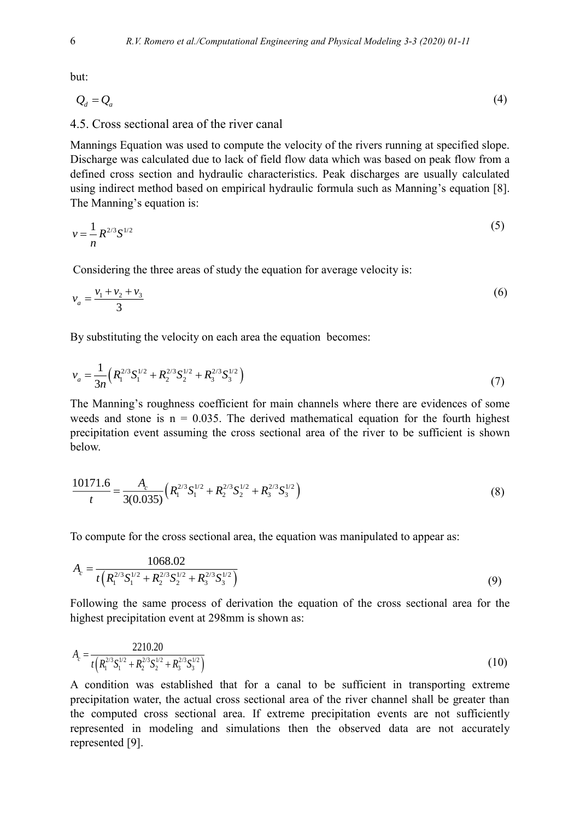but:

$$
Q_d = Q_a \tag{4}
$$

#### 4.5. Cross sectional area of the river canal

Mannings Equation was used to compute the velocity of the rivers running at specified slope. Discharge was calculated due to lack of field flow data which was based on peak flow from a defined cross section and hydraulic characteristics. Peak discharges are usually calculated using indirect method based on empirical hydraulic formula such as Manning's equation [8]. The Manning's equation is:

$$
v = \frac{1}{n} R^{2/3} S^{1/2} \tag{5}
$$

Considering the three areas of study the equation for average velocity is:

$$
v_a = \frac{v_1 + v_2 + v_3}{3}
$$
  
By substituting the velocity on each area the equation becomes:  

$$
v = \frac{1}{3} \left( R^{2/3} S_1^{1/2} + R^{2/3} S_2^{1/2} + R^{2/3} S_3^{1/2} \right)
$$

By substituting the velocity on each area the equation becomes:

$$
v_a = \frac{1}{3n} \left( R_1^{2/3} S_1^{1/2} + R_2^{2/3} S_2^{1/2} + R_3^{2/3} S_3^{1/2} \right) \tag{7}
$$

The Manning's roughness coefficient for main channels where there are evidences of some weeds and stone is  $n = 0.035$ . The derived mathematical equation for the fourth highest precipitation event assuming the cross sectional area of the river to be sufficient is shown below.

$$
\frac{10171.6}{t} = \frac{A_c}{3(0.035)} \Big( R_1^{2/3} S_1^{1/2} + R_2^{2/3} S_2^{1/2} + R_3^{2/3} S_3^{1/2} \Big)
$$
(8)

To compute for the cross sectional area, the equation was manipulated to appear as:

$$
A_c = \frac{1068.02}{t\left(R_1^{2/3}S_1^{1/2} + R_2^{2/3}S_2^{1/2} + R_3^{2/3}S_3^{1/2}\right)}
$$
(9)

Following the same process of derivation the equation of the cross sectional area for the highest precipitation event at 298mm is shown as:

$$
A_c = \frac{2210.20}{t\left(R_1^{2/3}S_1^{1/2} + R_2^{2/3}S_2^{1/2} + R_3^{2/3}S_3^{1/2}\right)}
$$
(10)

A condition was established that for a canal to be sufficient in transporting extreme precipitation water, the actual cross sectional area of the river channel shall be greater than the computed cross sectional area. If extreme precipitation events are not sufficiently represented in modeling and simulations then the observed data are not accurately represented [9].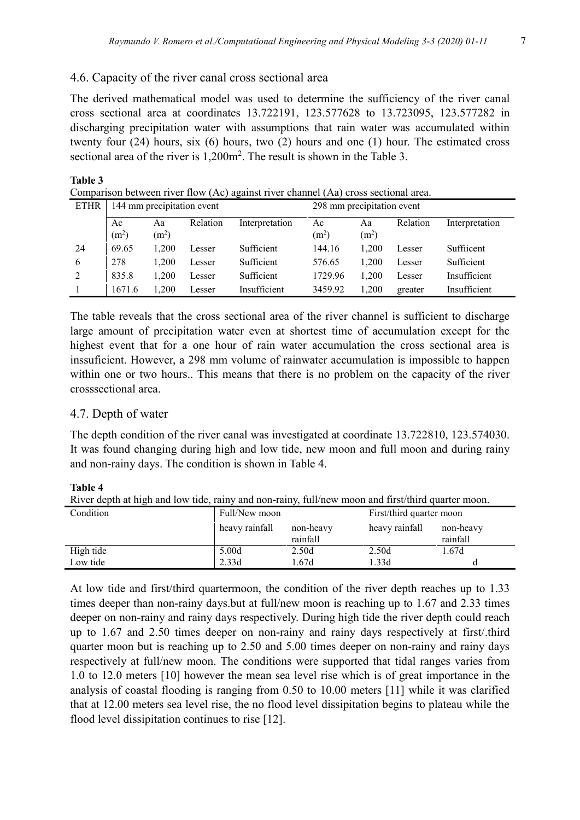### 4.6. Capacity of the river canal cross sectional area

The derived mathematical model was used to determine the sufficiency of the river canal cross sectional area at coordinates 13.722191, 123.577628 to 13.723095, 123.577282 in discharging precipitation water with assumptions that rain water was accumulated within twenty four (24) hours, six (6) hours, two (2) hours and one (1) hour. The estimated cross sectional area of the river is 1,200m<sup>2</sup>. The result is shown in the Table 3.

| Comparison between river flow (Ac) against river channel (Aa) cross sectional area. |                            |                         |          |                |                            |                         |          |                |  |  |
|-------------------------------------------------------------------------------------|----------------------------|-------------------------|----------|----------------|----------------------------|-------------------------|----------|----------------|--|--|
| <b>ETHR</b>                                                                         | 144 mm precipitation event |                         |          |                | 298 mm precipitation event |                         |          |                |  |  |
|                                                                                     | Ac<br>(m <sup>2</sup> )    | Aa<br>(m <sup>2</sup> ) | Relation | Interpretation | Ac<br>(m <sup>2</sup> )    | Aa<br>(m <sup>2</sup> ) | Relation | Interpretation |  |  |
| -24                                                                                 | 69.65                      | 1.200                   | Lesser   | Sufficient     | 144.16                     | 1.200                   | Lesser   | Sufficent      |  |  |
| 6                                                                                   | 278                        | 1.200                   | Lesser   | Sufficient     | 576.65                     | 1.200                   | Lesser   | Sufficient     |  |  |
| 2                                                                                   | 835.8                      | 1,200                   | Lesser   | Sufficient     | 1729.96                    | 1.200                   | Lesser   | Insufficient   |  |  |
|                                                                                     | 1671.6                     | 1,200                   | Lesser   | Insufficient   | 3459.92                    | 1.200                   | greater  | Insufficient   |  |  |

The table reveals that the cross sectional area of the river channel is sufficient to discharge

large amount of precipitation water even at shortest time of accumulation except for the highest event that for a one hour of rain water accumulation the cross sectional area is inssuficient. However, a 298 mm volume of rainwater accumulation is impossible to happen within one or two hours.. This means that there is no problem on the capacity of the river crosssectional area.

#### 4.7. Depth of water

The depth condition of the river canal was investigated at coordinate 13.722810, 123.574030. It was found changing during high and low tide, new moon and full moon and during rainy and non-rainy days. The condition is shown in Table 4.

#### **Table 4**

**Table 3**

River depth at high and low tide, rainy and non-rainy, full/new moon and first/third quarter moon.

| Condition | Full/New moon  |                       |                | First/third quarter moon |  |  |
|-----------|----------------|-----------------------|----------------|--------------------------|--|--|
|           | heavy rainfall | non-heavy<br>rainfall | heavy rainfall | non-heavy<br>rainfall    |  |  |
| High tide | 5.00d          | 2.50d                 | 2.50d          | 1.67d                    |  |  |
| Low tide  | 2.33d          | 1.67d                 | 1.33d          |                          |  |  |

At low tide and first/third quartermoon, the condition of the river depth reaches up to 1.33 times deeper than non-rainy days.but at full/new moon is reaching up to 1.67 and 2.33 times deeper on non-rainy and rainy days respectively. During high tide the river depth could reach up to 1.67 and 2.50 times deeper on non-rainy and rainy days respectively at first/.third quarter moon but is reaching up to 2.50 and 5.00 times deeper on non-rainy and rainy days respectively at full/new moon. The conditions were supported that tidal ranges varies from 1.0 to 12.0 meters [10] however the mean sea level rise which is of great importance in the analysis of coastal flooding is ranging from 0.50 to 10.00 meters [11] while it was clarified that at 12.00 meters sea level rise, the no flood level dissipitation begins to plateau while the flood level dissipitation continues to rise [12].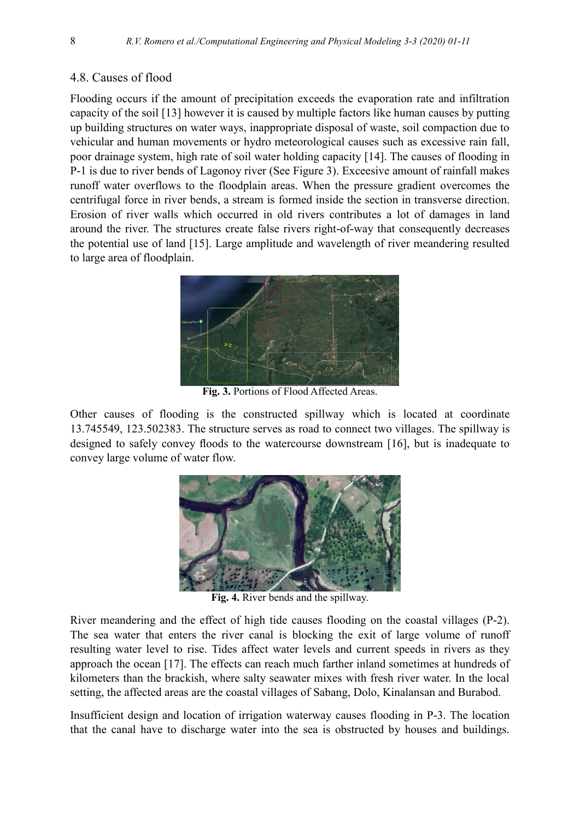## 4.8. Causes of flood

Flooding occurs if the amount of precipitation exceeds the evaporation rate and infiltration capacity of the soil [13] however it is caused by multiple factors like human causes by putting up building structures on water ways, inappropriate disposal of waste, soil compaction due to vehicular and human movements or hydro meteorological causes such as excessive rain fall, poor drainage system, high rate of soil water holding capacity [14]. The causes of flooding in P-1 is due to river bends of Lagonoy river (See Figure 3). Exceesive amount of rainfall makes runoff water overflows to the floodplain areas. When the pressure gradient overcomes the centrifugal force in river bends, a stream is formed inside the section in transverse direction. Erosion of river walls which occurred in old rivers contributes a lot of damages in land around the river. The structures create false rivers right-of-way that consequently decreases the potential use of land [15]. Large amplitude and wavelength of river meandering resulted to large area of floodplain.



**Fig. 3.** Portions of Flood Affected Areas.

Other causes of flooding is the constructed spillway which is located at coordinate 13.745549, 123.502383. The structure serves as road to connect two villages. The spillway is designed to safely convey floods to the watercourse downstream [16], but is inadequate to convey large volume of water flow.



**Fig. 4.** River bends and the spillway.

River meandering and the effect of high tide causes flooding on the coastal villages (P-2). The sea water that enters the river canal is blocking the exit of large volume of runoff resulting water level to rise. Tides affect water levels and current speeds in rivers as they approach the ocean [17]. The effects can reach much farther inland sometimes at hundreds of kilometers than the brackish, where salty seawater mixes with fresh river water. In the local setting, the affected areas are the coastal villages of Sabang, Dolo, Kinalansan and Burabod.

Insufficient design and location of irrigation waterway causes flooding in P-3. The location that the canal have to discharge water into the sea is obstructed by houses and buildings.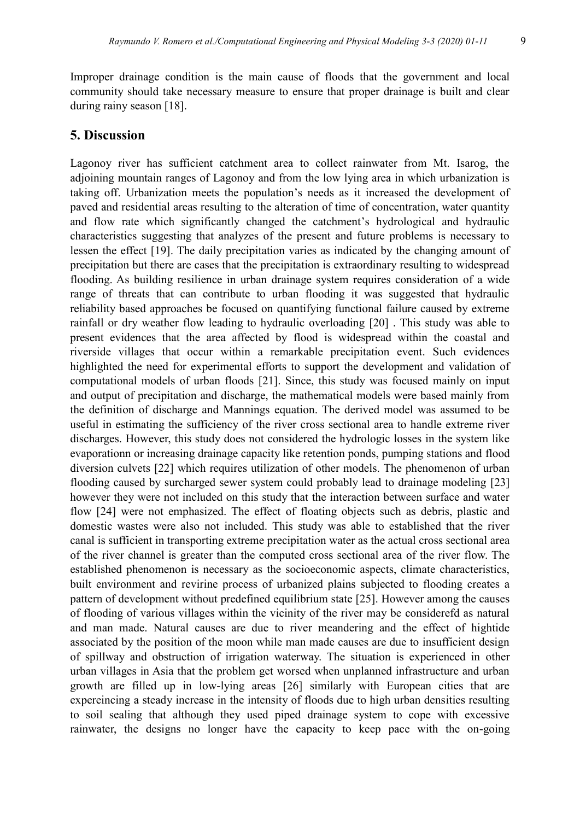Improper drainage condition is the main cause of floods that the government and local community should take necessary measure to ensure that proper drainage is built and clear during rainy season [18].

#### **5. Discussion**

Lagonoy river has sufficient catchment area to collect rainwater from Mt. Isarog, the adjoining mountain ranges of Lagonoy and from the low lying area in which urbanization is taking off. Urbanization meets the population's needs as it increased the development of paved and residential areas resulting to the alteration of time of concentration, water quantity and flow rate which significantly changed the catchment's hydrological and hydraulic characteristics suggesting that analyzes of the present and future problems is necessary to lessen the effect [19]. The daily precipitation varies as indicated by the changing amount of precipitation but there are cases that the precipitation is extraordinary resulting to widespread flooding. As building resilience in urban drainage system requires consideration of a wide range of threats that can contribute to urban flooding it was suggested that hydraulic reliability based approaches be focused on quantifying functional failure caused by extreme rainfall or dry weather flow leading to hydraulic overloading [20] . This study was able to present evidences that the area affected by flood is widespread within the coastal and riverside villages that occur within a remarkable precipitation event. Such evidences highlighted the need for experimental efforts to support the development and validation of computational models of urban floods [21]. Since, this study was focused mainly on input and output of precipitation and discharge, the mathematical models were based mainly from the definition of discharge and Mannings equation. The derived model was assumed to be useful in estimating the sufficiency of the river cross sectional area to handle extreme river discharges. However, this study does not considered the hydrologic losses in the system like evaporationn or increasing drainage capacity like retention ponds, pumping stations and flood diversion culvets [22] which requires utilization of other models. The phenomenon of urban flooding caused by surcharged sewer system could probably lead to drainage modeling [23] however they were not included on this study that the interaction between surface and water flow [24] were not emphasized. The effect of floating objects such as debris, plastic and domestic wastes were also not included. This study was able to established that the river canal is sufficient in transporting extreme precipitation water as the actual cross sectional area of the river channel is greater than the computed cross sectional area of the river flow. The established phenomenon is necessary as the socioeconomic aspects, climate characteristics, built environment and revirine process of urbanized plains subjected to flooding creates a pattern of development without predefined equilibrium state [25]. However among the causes of flooding of various villages within the vicinity of the river may be considerefd as natural and man made. Natural causes are due to river meandering and the effect of hightide associated by the position of the moon while man made causes are due to insufficient design of spillway and obstruction of irrigation waterway. The situation is experienced in other urban villages in Asia that the problem get worsed when unplanned infrastructure and urban growth are filled up in low-lying areas [26] similarly with European cities that are expereincing a steady increase in the intensity of floods due to high urban densities resulting to soil sealing that although they used piped drainage system to cope with excessive rainwater, the designs no longer have the capacity to keep pace with the on-going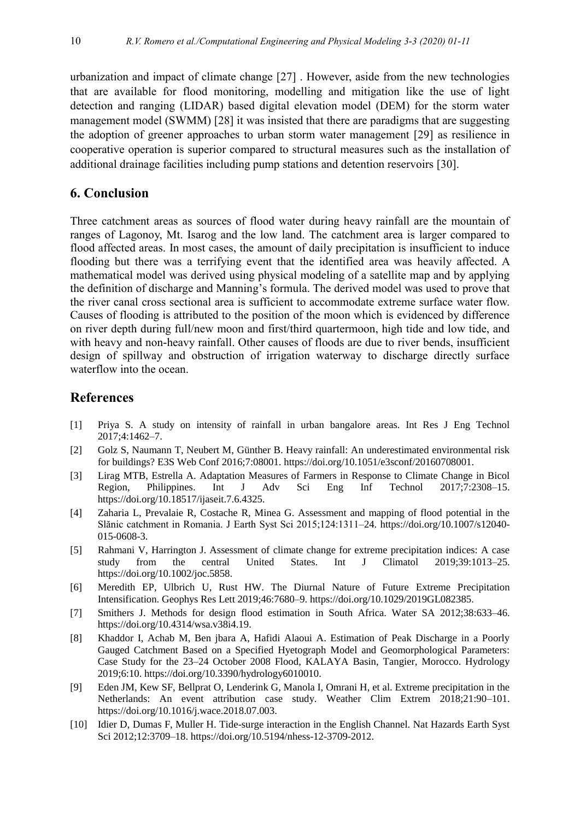urbanization and impact of climate change [27] . However, aside from the new technologies that are available for flood monitoring, modelling and mitigation like the use of light detection and ranging (LIDAR) based digital elevation model (DEM) for the storm water management model (SWMM) [28] it was insisted that there are paradigms that are suggesting the adoption of greener approaches to urban storm water management [29] as resilience in cooperative operation is superior compared to structural measures such as the installation of additional drainage facilities including pump stations and detention reservoirs [30].

## **6. Conclusion**

Three catchment areas as sources of flood water during heavy rainfall are the mountain of ranges of Lagonoy, Mt. Isarog and the low land. The catchment area is larger compared to flood affected areas. In most cases, the amount of daily precipitation is insufficient to induce flooding but there was a terrifying event that the identified area was heavily affected. A mathematical model was derived using physical modeling of a satellite map and by applying the definition of discharge and Manning's formula. The derived model was used to prove that the river canal cross sectional area is sufficient to accommodate extreme surface water flow. Causes of flooding is attributed to the position of the moon which is evidenced by difference on river depth during full/new moon and first/third quartermoon, high tide and low tide, and with heavy and non-heavy rainfall. Other causes of floods are due to river bends, insufficient design of spillway and obstruction of irrigation waterway to discharge directly surface waterflow into the ocean.

#### **References**

- [1] Priya S. A study on intensity of rainfall in urban bangalore areas. Int Res J Eng Technol 2017;4:1462–7.
- [2] Golz S, Naumann T, Neubert M, Günther B. Heavy rainfall: An underestimated environmental risk for buildings? E3S Web Conf 2016;7:08001. https://doi.org/10.1051/e3sconf/20160708001.
- [3] Lirag MTB, Estrella A. Adaptation Measures of Farmers in Response to Climate Change in Bicol Region, Philippines. Int J Adv Sci Eng Inf Technol 2017;7:2308–15. https://doi.org/10.18517/ijaseit.7.6.4325.
- [4] Zaharia L, Prevalaie R, Costache R, Minea G. Assessment and mapping of flood potential in the Slănic catchment in Romania. J Earth Syst Sci 2015;124:1311–24. https://doi.org/10.1007/s12040- 015-0608-3.
- [5] Rahmani V, Harrington J. Assessment of climate change for extreme precipitation indices: A case study from the central United States. Int J Climatol 2019;39:1013–25. https://doi.org/10.1002/joc.5858.
- [6] Meredith EP, Ulbrich U, Rust HW. The Diurnal Nature of Future Extreme Precipitation Intensification. Geophys Res Lett 2019;46:7680–9. https://doi.org/10.1029/2019GL082385.
- [7] Smithers J. Methods for design flood estimation in South Africa. Water SA 2012;38:633–46. https://doi.org/10.4314/wsa.v38i4.19.
- [8] Khaddor I, Achab M, Ben jbara A, Hafidi Alaoui A. Estimation of Peak Discharge in a Poorly Gauged Catchment Based on a Specified Hyetograph Model and Geomorphological Parameters: Case Study for the 23–24 October 2008 Flood, KALAYA Basin, Tangier, Morocco. Hydrology 2019;6:10. https://doi.org/10.3390/hydrology6010010.
- [9] Eden JM, Kew SF, Bellprat O, Lenderink G, Manola I, Omrani H, et al. Extreme precipitation in the Netherlands: An event attribution case study. Weather Clim Extrem 2018;21:90–101. https://doi.org/10.1016/j.wace.2018.07.003.
- [10] Idier D, Dumas F, Muller H. Tide-surge interaction in the English Channel. Nat Hazards Earth Syst Sci 2012;12:3709–18. https://doi.org/10.5194/nhess-12-3709-2012.